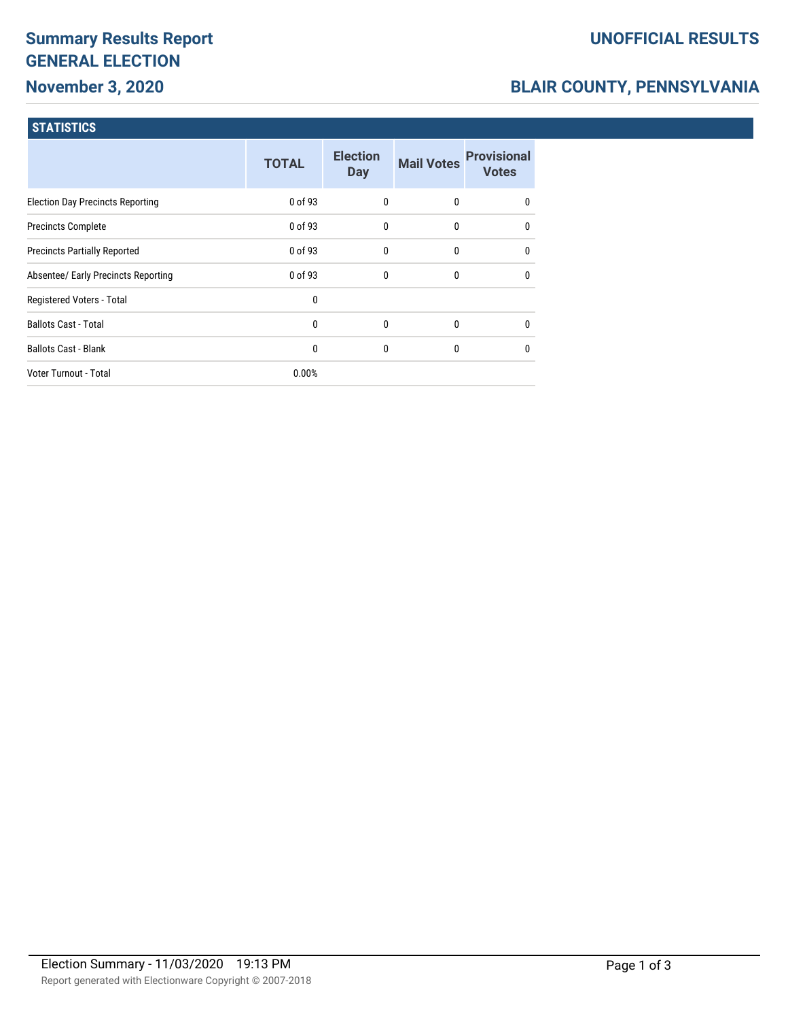# **Summary Results Report GENERAL ELECTION November 3, 2020**

### **UNOFFICIAL RESULTS**

## **BLAIR COUNTY, PENNSYLVANIA**

### **STATISTICS**

|                                         | <b>TOTAL</b> | <b>Election</b><br><b>Day</b> | <b>Mail Votes</b> | <b>Provisional</b><br><b>Votes</b> |
|-----------------------------------------|--------------|-------------------------------|-------------------|------------------------------------|
| <b>Election Day Precincts Reporting</b> | 0 of 93      | $\mathbf{0}$                  | $\mathbf{0}$      | $\mathbf{0}$                       |
| <b>Precincts Complete</b>               | 0 of 93      | 0                             | $\mathbf{0}$      | $\mathbf{0}$                       |
| <b>Precincts Partially Reported</b>     | 0 of 93      | $\mathbf{0}$                  | $\mathbf{0}$      | $\mathbf{0}$                       |
| Absentee/ Early Precincts Reporting     | 0 of 93      | 0                             | $\mathbf{0}$      | $\mathbf{0}$                       |
| Registered Voters - Total               | 0            |                               |                   |                                    |
| <b>Ballots Cast - Total</b>             | $\mathbf{0}$ | 0                             | $\mathbf{0}$      | $\mathbf{0}$                       |
| <b>Ballots Cast - Blank</b>             | 0            | 0                             | $\mathbf{0}$      | $\mathbf{0}$                       |
| Voter Turnout - Total                   | 0.00%        |                               |                   |                                    |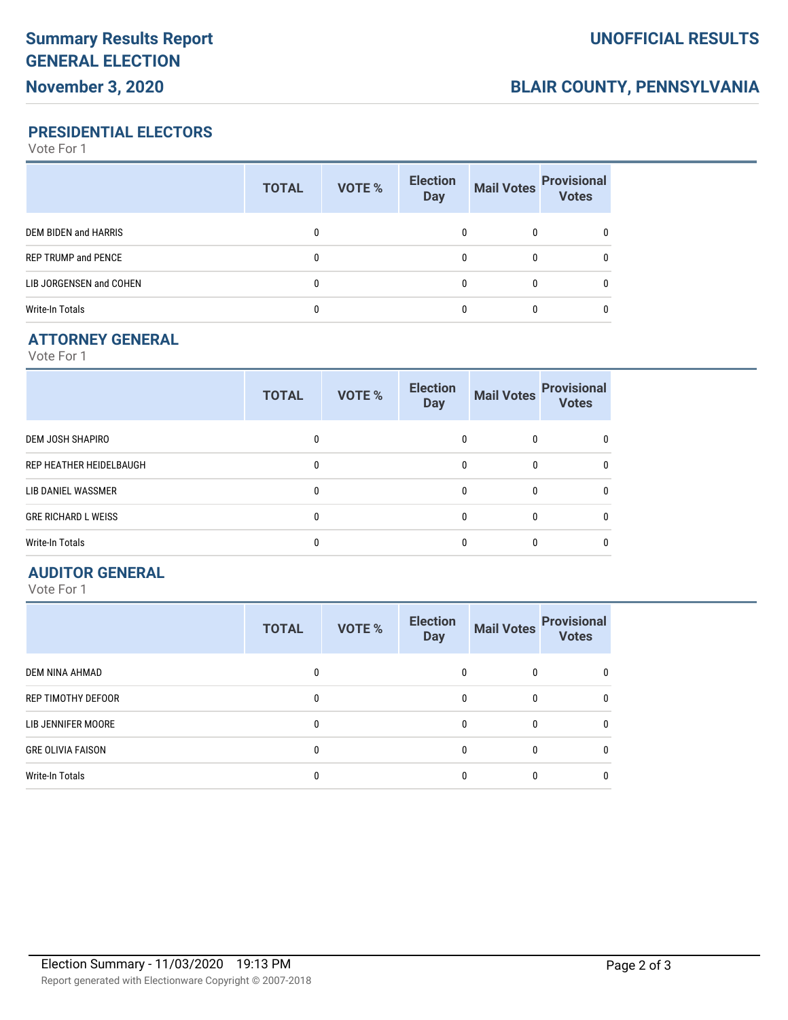## **BLAIR COUNTY, PENNSYLVANIA**

## **PRESIDENTIAL ELECTORS**

Vote For 1

|                            | <b>TOTAL</b> | <b>VOTE %</b> | <b>Election</b><br><b>Day</b> | <b>Mail Votes</b> | <b>Provisional</b><br><b>Votes</b> |
|----------------------------|--------------|---------------|-------------------------------|-------------------|------------------------------------|
| DEM BIDEN and HARRIS       |              |               |                               | 0                 |                                    |
| <b>REP TRUMP and PENCE</b> |              |               |                               | 0                 |                                    |
| LIB JORGENSEN and COHEN    |              |               |                               | 0                 |                                    |
| Write-In Totals            |              |               |                               | 0                 |                                    |

### **ATTORNEY GENERAL**

Vote For 1

|                            | <b>TOTAL</b> | VOTE % | <b>Election</b><br><b>Day</b> | <b>Mail Votes</b> | <b>Provisional</b><br><b>Votes</b> |
|----------------------------|--------------|--------|-------------------------------|-------------------|------------------------------------|
| <b>DEM JOSH SHAPIRO</b>    |              |        | 0                             | 0                 |                                    |
| REP HEATHER HEIDELBAUGH    | 0            |        | 0                             | 0                 |                                    |
| LIB DANIEL WASSMER         |              |        | 0                             | 0                 |                                    |
| <b>GRE RICHARD L WEISS</b> |              |        | 0                             | 0                 |                                    |
| <b>Write-In Totals</b>     |              |        | 0                             | 0                 |                                    |

#### **AUDITOR GENERAL**

Vote For 1

|                           | <b>TOTAL</b> | <b>VOTE %</b> | <b>Election</b><br><b>Day</b> | <b>Mail Votes</b> | <b>Provisional</b><br><b>Votes</b> |
|---------------------------|--------------|---------------|-------------------------------|-------------------|------------------------------------|
| DEM NINA AHMAD            |              |               |                               | 0                 | $\bf{0}$                           |
| <b>REP TIMOTHY DEFOOR</b> |              |               | $\Omega$                      | $\Omega$          | $\Omega$                           |
| LIB JENNIFER MOORE        |              |               |                               | 0                 | $\mathbf{0}$                       |
| <b>GRE OLIVIA FAISON</b>  |              |               |                               | 0                 | $\Omega$                           |
| <b>Write-In Totals</b>    |              |               |                               |                   | $\bf{0}$                           |